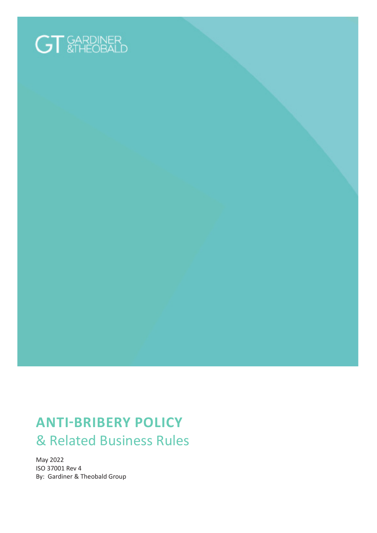

# **ANTI-BRIBERY POLICY** & Related Business Rules

May 2022 ISO 37001 Rev 4 By: Gardiner & Theobald Group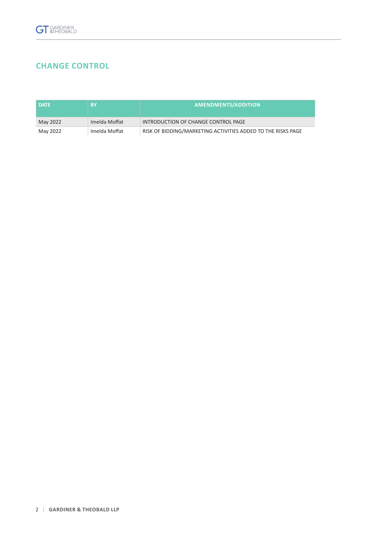

# **CHANGE CONTROL**

| <b>DATE</b> | <b>BY</b>     | AMENDMENTS/ADDITION                                          |
|-------------|---------------|--------------------------------------------------------------|
| May 2022    | Imelda Moffat | INTRODUCTION OF CHANGE CONTROL PAGE                          |
| May 2022    | Imelda Moffat | RISK OF BIDDING/MARKETING ACTIVITIES ADDED TO THE RISKS PAGE |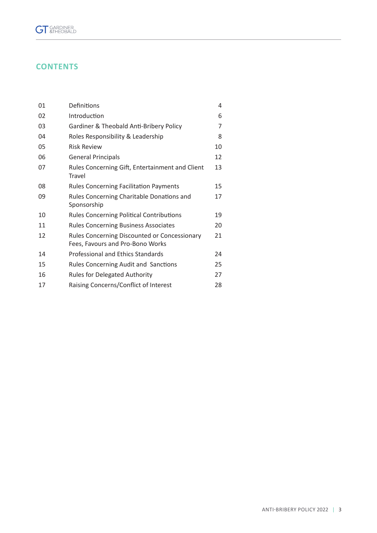# **CONTENTS**

| 01 | Definitions                                                                             | 4  |
|----|-----------------------------------------------------------------------------------------|----|
| 02 | Introduction                                                                            | 6  |
| 03 | Gardiner & Theobald Anti-Bribery Policy                                                 | 7  |
| 04 | Roles Responsibility & Leadership                                                       | 8  |
| 05 | <b>Risk Review</b>                                                                      | 10 |
| 06 | <b>General Principals</b>                                                               | 12 |
| 07 | Rules Concerning Gift, Entertainment and Client<br>Travel                               | 13 |
| 08 | <b>Rules Concerning Facilitation Payments</b>                                           | 15 |
| 09 | Rules Concerning Charitable Donations and<br>Sponsorship                                | 17 |
| 10 | <b>Rules Concerning Political Contributions</b>                                         | 19 |
| 11 | <b>Rules Concerning Business Associates</b>                                             | 20 |
| 12 | <b>Rules Concerning Discounted or Concessionary</b><br>Fees, Favours and Pro-Bono Works | 21 |
| 14 | <b>Professional and Ethics Standards</b>                                                | 24 |
| 15 | <b>Rules Concerning Audit and Sanctions</b>                                             | 25 |
| 16 | <b>Rules for Delegated Authority</b>                                                    | 27 |
| 17 | Raising Concerns/Conflict of Interest                                                   | 28 |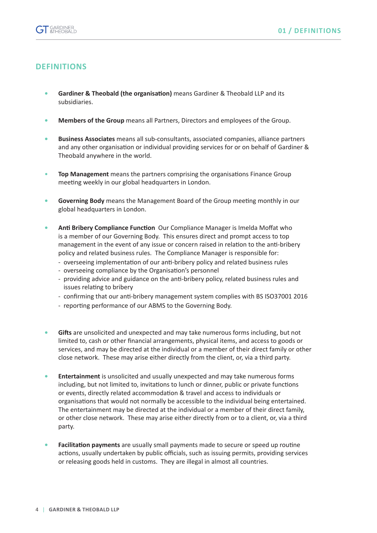

### **DEFINITIONS**

- **• Gardiner & Theobald (the organisation)** means Gardiner & Theobald LLP and its subsidiaries.
- **• Members of the Group** means all Partners, Directors and employees of the Group.
- **• Business Associates** means all sub-consultants, associated companies, alliance partners and any other organisation or individual providing services for or on behalf of Gardiner & Theobald anywhere in the world.
- **Top Management** means the partners comprising the organisations Finance Group meeting weekly in our global headquarters in London.
- **• Governing Body** means the Management Board of the Group meeting monthly in our global headquarters in London.
- **• Anti Bribery Compliance Function** Our Compliance Manager is Imelda Moffat who is a member of our Governing Body. This ensures direct and prompt access to top management in the event of any issue or concern raised in relation to the anti-bribery policy and related business rules. The Compliance Manager is responsible for:
	- overseeing implementation of our anti-bribery policy and related business rules
	- overseeing compliance by the Organisation's personnel
	- providing advice and guidance on the anti-bribery policy, related business rules and issues relating to bribery
	- confirming that our anti-bribery management system complies with BS ISO37001 2016
	- reporting performance of our ABMS to the Governing Body.
- **• Gifts** are unsolicited and unexpected and may take numerous forms including, but not limited to, cash or other financial arrangements, physical items, and access to goods or services, and may be directed at the individual or a member of their direct family or other close network. These may arise either directly from the client, or, via a third party.
- **• Entertainment** is unsolicited and usually unexpected and may take numerous forms including, but not limited to, invitations to lunch or dinner, public or private functions or events, directly related accommodation & travel and access to individuals or organisations that would not normally be accessible to the individual being entertained. The entertainment may be directed at the individual or a member of their direct family, or other close network. These may arise either directly from or to a client, or, via a third party.
- **• Facilitation payments** are usually small payments made to secure or speed up routine actions, usually undertaken by public officials, such as issuing permits, providing services or releasing goods held in customs. They are illegal in almost all countries.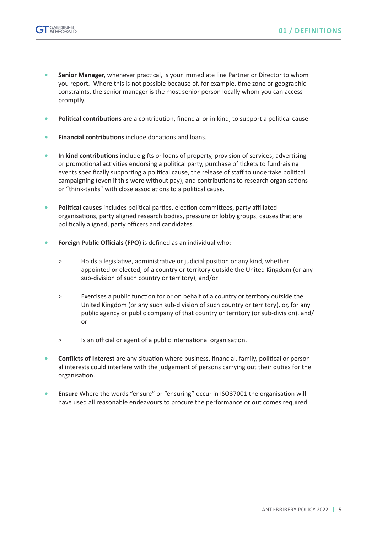- **• Senior Manager,** whenever practical, is your immediate line Partner or Director to whom you report. Where this is not possible because of, for example, time zone or geographic constraints, the senior manager is the most senior person locally whom you can access promptly.
- **• Political contributions** are a contribution, financial or in kind, to support a political cause.
- **• Financial contributions** include donations and loans.
- **• In kind contributions** include gifts or loans of property, provision of services, advertising or promotional activities endorsing a political party, purchase of tickets to fundraising events specifically supporting a political cause, the release of staff to undertake political campaigning (even if this were without pay), and contributions to research organisations or "think-tanks" with close associations to a political cause.
- **• Political causes** includes political parties, election committees, party affiliated organisations, party aligned research bodies, pressure or lobby groups, causes that are politically aligned, party officers and candidates.
- **• Foreign Public Officials (FPO)** is defined as an individual who:
	- > Holds a legislative, administrative or judicial position or any kind, whether appointed or elected, of a country or territory outside the United Kingdom (or any sub-division of such country or territory), and/or
	- > Exercises a public function for or on behalf of a country or territory outside the United Kingdom (or any such sub-division of such country or territory), or, for any public agency or public company of that country or territory (or sub-division), and/ or
	- > Is an official or agent of a public international organisation.
- **• Conflicts of Interest** are any situation where business, financial, family, political or personal interests could interfere with the judgement of persons carrying out their duties for the organisation.
- **• Ensure** Where the words "ensure" or "ensuring" occur in ISO37001 the organisation will have used all reasonable endeavours to procure the performance or out comes required.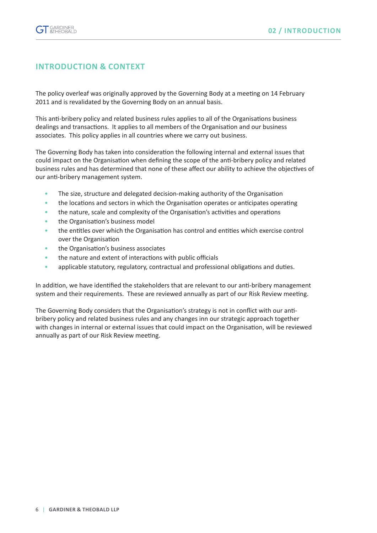

# **INTRODUCTION & CONTEXT**

The policy overleaf was originally approved by the Governing Body at a meeting on 14 February 2011 and is revalidated by the Governing Body on an annual basis.

This anti-bribery policy and related business rules applies to all of the Organisations business dealings and transactions. It applies to all members of the Organisation and our business associates. This policy applies in all countries where we carry out business.

The Governing Body has taken into consideration the following internal and external issues that could impact on the Organisation when defining the scope of the anti-bribery policy and related business rules and has determined that none of these affect our ability to achieve the objectives of our anti-bribery management system.

- The size, structure and delegated decision-making authority of the Organisation
- the locations and sectors in which the Organisation operates or anticipates operating
- the nature, scale and complexity of the Organisation's activities and operations
- the Organisation's business model
- the entitles over which the Organisation has control and entities which exercise control over the Organisation
- the Organisation's business associates
- the nature and extent of interactions with public officials
- applicable statutory, regulatory, contractual and professional obligations and duties.

In addition, we have identified the stakeholders that are relevant to our anti-bribery management system and their requirements. These are reviewed annually as part of our Risk Review meeting.

The Governing Body considers that the Organisation's strategy is not in conflict with our antibribery policy and related business rules and any changes inn our strategic approach together with changes in internal or external issues that could impact on the Organisation, will be reviewed annually as part of our Risk Review meeting.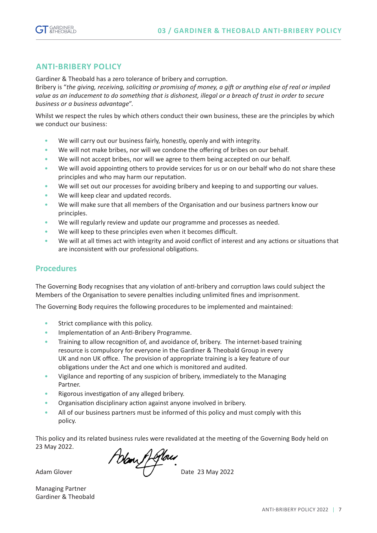



### **ANTI-BRIBERY POLICY**

Gardiner & Theobald has a zero tolerance of bribery and corruption.

Bribery is "*the giving, receiving, soliciting or promising of money, a gift or anything else of real or implied value as an inducement to do something that is dishonest, illegal or a breach of trust in order to secure business or a business advantage*".

Whilst we respect the rules by which others conduct their own business, these are the principles by which we conduct our business:

- We will carry out our business fairly, honestly, openly and with integrity.
- We will not make bribes, nor will we condone the offering of bribes on our behalf.
- We will not accept bribes, nor will we agree to them being accepted on our behalf.
- We will avoid appointing others to provide services for us or on our behalf who do not share these principles and who may harm our reputation.
- We will set out our processes for avoiding bribery and keeping to and supporting our values.
- We will keep clear and updated records.
- We will make sure that all members of the Organisation and our business partners know our principles.
- We will regularly review and update our programme and processes as needed.
- We will keep to these principles even when it becomes difficult.
- We will at all times act with integrity and avoid conflict of interest and any actions or situations that are inconsistent with our professional obligations.

#### **Procedures**

The Governing Body recognises that any violation of anti-bribery and corruption laws could subject the Members of the Organisation to severe penalties including unlimited fines and imprisonment.

The Governing Body requires the following procedures to be implemented and maintained:

- Strict compliance with this policy.
- Implementation of an Anti-Bribery Programme.
- Training to allow recognition of, and avoidance of, bribery. The internet-based training resource is compulsory for everyone in the Gardiner & Theobald Group in every UK and non UK office. The provision of appropriate training is a key feature of our obligations under the Act and one which is monitored and audited.
- Vigilance and reporting of any suspicion of bribery, immediately to the Managing Partner.
- Rigorous investigation of any alleged bribery.
- Organisation disciplinary action against anyone involved in bribery.
- All of our business partners must be informed of this policy and must comply with this policy.

This policy and its related business rules were revalidated at the meeting of the Governing Body held on 23 May 2022.

 $\frac{1}{\sqrt{2}}$ <br>Adam Glover Date 23 May 2022

Managing Partner Gardiner & Theobald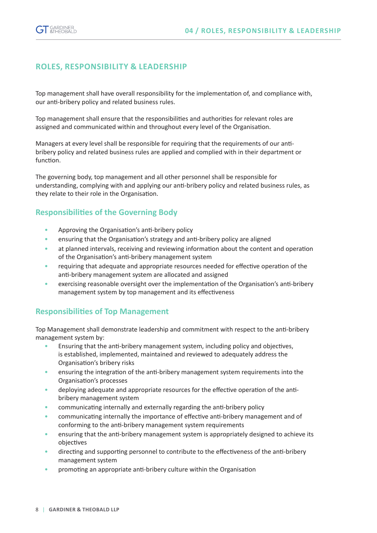

### **ROLES, RESPONSIBILITY & LEADERSHIP**

Top management shall have overall responsibility for the implementation of, and compliance with, our anti-bribery policy and related business rules.

Top management shall ensure that the responsibilities and authorities for relevant roles are assigned and communicated within and throughout every level of the Organisation.

Managers at every level shall be responsible for requiring that the requirements of our antibribery policy and related business rules are applied and complied with in their department or function.

The governing body, top management and all other personnel shall be responsible for understanding, complying with and applying our anti-bribery policy and related business rules, as they relate to their role in the Organisation.

### **Responsibilities of the Governing Body**

- Approving the Organisation's anti-bribery policy
- ensuring that the Organisation's strategy and anti-bribery policy are aligned
- at planned intervals, receiving and reviewing information about the content and operation of the Organisation's anti-bribery management system
- requiring that adequate and appropriate resources needed for effective operation of the anti-bribery management system are allocated and assigned
- exercising reasonable oversight over the implementation of the Organisation's anti-bribery management system by top management and its effectiveness

### **Responsibilities of Top Management**

Top Management shall demonstrate leadership and commitment with respect to the anti-bribery management system by:

- Ensuring that the anti-bribery management system, including policy and objectives, is established, implemented, maintained and reviewed to adequately address the Organisation's bribery risks
- ensuring the integration of the anti-bribery management system requirements into the Organisation's processes
- deploying adequate and appropriate resources for the effective operation of the antibribery management system
- communicating internally and externally regarding the anti-bribery policy
- communicating internally the importance of effective anti-bribery management and of conforming to the anti-bribery management system requirements
- ensuring that the anti-bribery management system is appropriately designed to achieve its objectives
- directing and supporting personnel to contribute to the effectiveness of the anti-bribery management system
- promoting an appropriate anti-bribery culture within the Organisation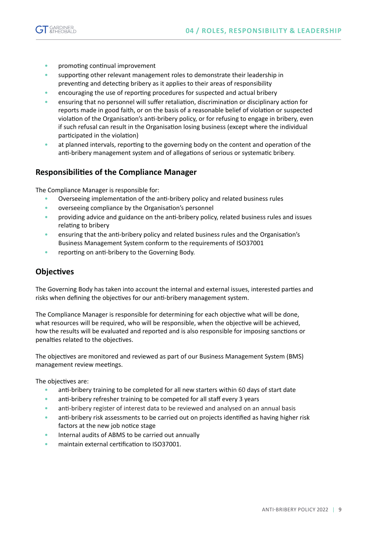- promoting continual improvement
- supporting other relevant management roles to demonstrate their leadership in preventing and detecting bribery as it applies to their areas of responsibility
- encouraging the use of reporting procedures for suspected and actual bribery
- ensuring that no personnel will suffer retaliation, discrimination or disciplinary action for reports made in good faith, or on the basis of a reasonable belief of violation or suspected violation of the Organisation's anti-bribery policy, or for refusing to engage in bribery, even if such refusal can result in the Organisation losing business (except where the individual participated in the violation)
- at planned intervals, reporting to the governing body on the content and operation of the anti-bribery management system and of allegations of serious or systematic bribery.

### **Responsibilities of the Compliance Manager**

The Compliance Manager is responsible for:

- Overseeing implementation of the anti-bribery policy and related business rules
- overseeing compliance by the Organisation's personnel
- providing advice and guidance on the anti-bribery policy, related business rules and issues relating to bribery
- ensuring that the anti-bribery policy and related business rules and the Organisation's Business Management System conform to the requirements of ISO37001
- reporting on anti-bribery to the Governing Body.

### **Objectives**

The Governing Body has taken into account the internal and external issues, interested parties and risks when defining the objectives for our anti-bribery management system.

The Compliance Manager is responsible for determining for each objective what will be done, what resources will be required, who will be responsible, when the objective will be achieved, how the results will be evaluated and reported and is also responsible for imposing sanctions or penalties related to the objectives.

The objectives are monitored and reviewed as part of our Business Management System (BMS) management review meetings.

The objectives are:

- anti-bribery training to be completed for all new starters within 60 days of start date
- anti-bribery refresher training to be competed for all staff every 3 years
- anti-bribery register of interest data to be reviewed and analysed on an annual basis
- anti-bribery risk assessments to be carried out on projects identified as having higher risk factors at the new job notice stage
- Internal audits of ABMS to be carried out annually
- maintain external certification to ISO37001.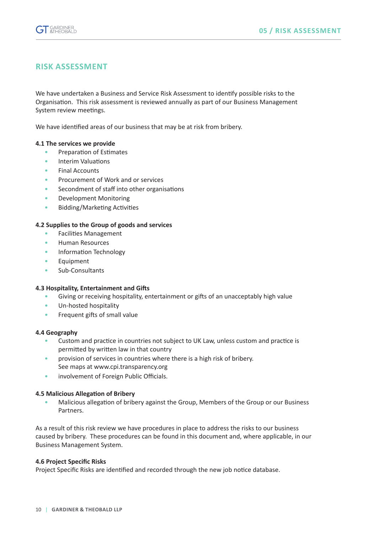### **RISK ASSESSMENT**

We have undertaken a Business and Service Risk Assessment to identify possible risks to the Organisation. This risk assessment is reviewed annually as part of our Business Management System review meetings.

We have identified areas of our business that may be at risk from bribery.

#### **4.1 The services we provide**

- Preparation of Estimates
- Interim Valuations
- **Final Accounts**
- Procurement of Work and or services
- Secondment of staff into other organisations
- Development Monitoring
- Bidding/Marketing Activities

#### **4.2 Supplies to the Group of goods and services**

- Facilities Management
- Human Resources
- Information Technology
- Equipment
- Sub-Consultants

#### **4.3 Hospitality, Entertainment and Gifts**

- Giving or receiving hospitality, entertainment or gifts of an unacceptably high value
- Un-hosted hospitality
- Frequent gifts of small value

#### **4.4 Geography**

- Custom and practice in countries not subject to UK Law, unless custom and practice is permitted by written law in that country
- provision of services in countries where there is a high risk of bribery. See maps at www.cpi.transparency.org
- involvement of Foreign Public Officials.

#### **4.5 Malicious Allegation of Bribery**

• Malicious allegation of bribery against the Group, Members of the Group or our Business Partners.

As a result of this risk review we have procedures in place to address the risks to our business caused by bribery. These procedures can be found in this document and, where applicable, in our Business Management System.

#### **4.6 Project Specific Risks**

Project Specific Risks are identified and recorded through the new job notice database.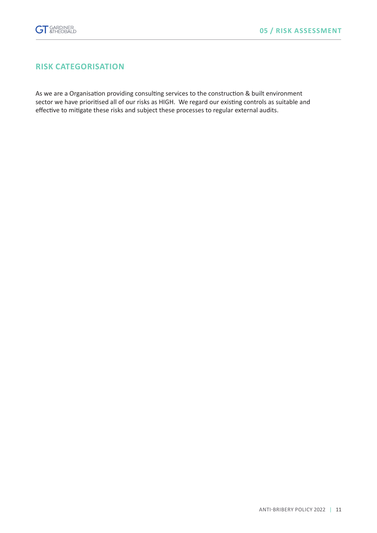

# **RISK CATEGORISATION**

As we are a Organisation providing consulting services to the construction & built environment sector we have prioritised all of our risks as HIGH. We regard our existing controls as suitable and effective to mitigate these risks and subject these processes to regular external audits.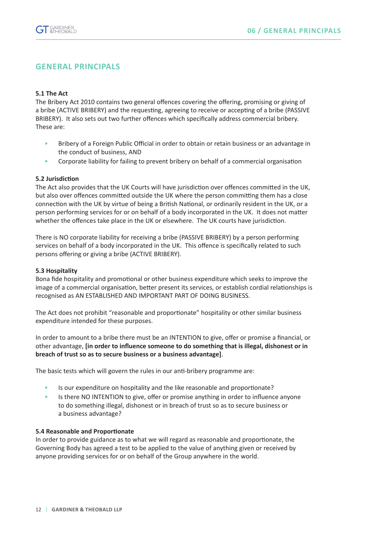

### **GENERAL PRINCIPALS**

#### **5.1 The Act**

The Bribery Act 2010 contains two general offences covering the offering, promising or giving of a bribe (ACTIVE BRIBERY) and the requesting, agreeing to receive or accepting of a bribe (PASSIVE BRIBERY). It also sets out two further offences which specifically address commercial bribery. These are:

- Bribery of a Foreign Public Official in order to obtain or retain business or an advantage in the conduct of business, AND
- Corporate liability for failing to prevent bribery on behalf of a commercial organisation

#### **5.2 Jurisdiction**

The Act also provides that the UK Courts will have jurisdiction over offences committed in the UK, but also over offences committed outside the UK where the person committing them has a close connection with the UK by virtue of being a British National, or ordinarily resident in the UK, or a person performing services for or on behalf of a body incorporated in the UK. It does not matter whether the offences take place in the UK or elsewhere. The UK courts have jurisdiction.

There is NO corporate liability for receiving a bribe (PASSIVE BRIBERY) by a person performing services on behalf of a body incorporated in the UK. This offence is specifically related to such persons offering or giving a bribe (ACTIVE BRIBERY).

#### **5.3 Hospitality**

Bona fide hospitality and promotional or other business expenditure which seeks to improve the image of a commercial organisation, better present its services, or establish cordial relationships is recognised as AN ESTABLISHED AND IMPORTANT PART OF DOING BUSINESS.

The Act does not prohibit "reasonable and proportionate" hospitality or other similar business expenditure intended for these purposes.

In order to amount to a bribe there must be an INTENTION to give, offer or promise a financial, or other advantage, **[in order to influence someone to do something that is illegal, dishonest or in breach of trust so as to secure business or a business advantage]**.

The basic tests which will govern the rules in our anti-bribery programme are:

- Is our expenditure on hospitality and the like reasonable and proportionate?
- Is there NO INTENTION to give, offer or promise anything in order to influence anyone to do something illegal, dishonest or in breach of trust so as to secure business or a business advantage?

#### **5.4 Reasonable and Proportionate**

In order to provide guidance as to what we will regard as reasonable and proportionate, the Governing Body has agreed a test to be applied to the value of anything given or received by anyone providing services for or on behalf of the Group anywhere in the world.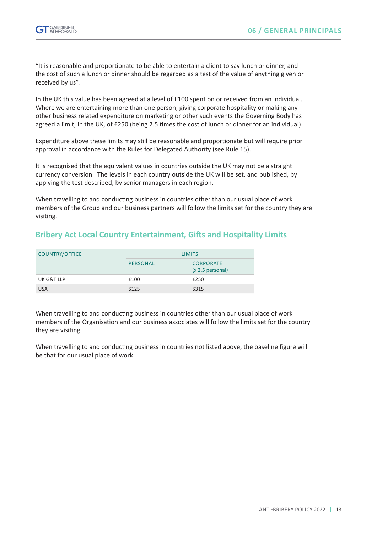

"It is reasonable and proportionate to be able to entertain a client to say lunch or dinner, and the cost of such a lunch or dinner should be regarded as a test of the value of anything given or received by us".

In the UK this value has been agreed at a level of £100 spent on or received from an individual. Where we are entertaining more than one person, giving corporate hospitality or making any other business related expenditure on marketing or other such events the Governing Body has agreed a limit, in the UK, of £250 (being 2.5 times the cost of lunch or dinner for an individual).

Expenditure above these limits may still be reasonable and proportionate but will require prior approval in accordance with the Rules for Delegated Authority (see Rule 15).

It is recognised that the equivalent values in countries outside the UK may not be a straight currency conversion. The levels in each country outside the UK will be set, and published, by applying the test described, by senior managers in each region.

When travelling to and conducting business in countries other than our usual place of work members of the Group and our business partners will follow the limits set for the country they are visiting.

### **Bribery Act Local Country Entertainment, Gifts and Hospitality Limits**

| <b>COUNTRY/OFFICE</b> | <b>LIMITS</b>   |                                        |
|-----------------------|-----------------|----------------------------------------|
|                       | <b>PERSONAL</b> | <b>CORPORATE</b><br>$(x 2.5$ personal) |
| UK G&T LLP            | £100            | £250                                   |
| <b>USA</b>            | \$125           | \$315                                  |

When travelling to and conducting business in countries other than our usual place of work members of the Organisation and our business associates will follow the limits set for the country they are visiting.

When travelling to and conducting business in countries not listed above, the baseline figure will be that for our usual place of work.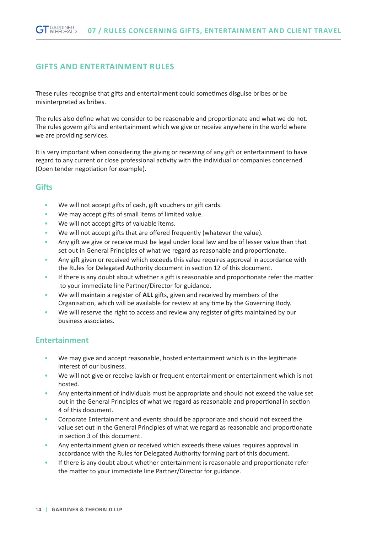### **GIFTS AND ENTERTAINMENT RULES**

These rules recognise that gifts and entertainment could sometimes disguise bribes or be misinterpreted as bribes.

The rules also define what we consider to be reasonable and proportionate and what we do not. The rules govern gifts and entertainment which we give or receive anywhere in the world where we are providing services.

It is very important when considering the giving or receiving of any gift or entertainment to have regard to any current or close professional activity with the individual or companies concerned. (Open tender negotiation for example).

#### **Gifts**

- We will not accept gifts of cash, gift vouchers or gift cards.
- We may accept gifts of small items of limited value.
- We will not accept gifts of valuable items.
- We will not accept gifts that are offered frequently (whatever the value).
- Any gift we give or receive must be legal under local law and be of lesser value than that set out in General Principles of what we regard as reasonable and proportionate.
- Any gift given or received which exceeds this value requires approval in accordance with the Rules for Delegated Authority document in section 12 of this document.
- If there is any doubt about whether a gift is reasonable and proportionate refer the matter to your immediate line Partner/Director for guidance.
- We will maintain a register of **ALL** gifts, given and received by members of the Organisation, which will be available for review at any time by the Governing Body.
- We will reserve the right to access and review any register of gifts maintained by our business associates.

#### **Entertainment**

- We may give and accept reasonable, hosted entertainment which is in the legitimate interest of our business.
- We will not give or receive lavish or frequent entertainment or entertainment which is not hosted.
- Any entertainment of individuals must be appropriate and should not exceed the value set out in the General Principles of what we regard as reasonable and proportional in section 4 of this document.
- Corporate Entertainment and events should be appropriate and should not exceed the value set out in the General Principles of what we regard as reasonable and proportionate in section 3 of this document.
- Any entertainment given or received which exceeds these values requires approval in accordance with the Rules for Delegated Authority forming part of this document.
- If there is any doubt about whether entertainment is reasonable and proportionate refer the matter to your immediate line Partner/Director for guidance.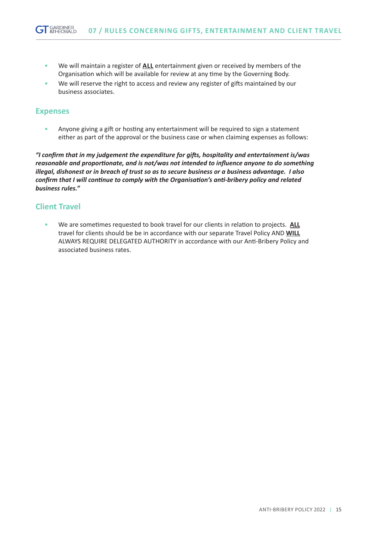- We will maintain a register of **ALL** entertainment given or received by members of the Organisation which will be available for review at any time by the Governing Body.
- We will reserve the right to access and review any register of gifts maintained by our business associates.

#### **Expenses**

• Anyone giving a gift or hosting any entertainment will be required to sign a statement either as part of the approval or the business case or when claiming expenses as follows:

*"I confirm that in my judgement the expenditure for gifts, hospitality and entertainment is/was reasonable and proportionate, and is not/was not intended to influence anyone to do something illegal, dishonest or in breach of trust so as to secure business or a business advantage. I also confirm that I will continue to comply with the Organisation's anti-bribery policy and related business rules."*

### **Client Travel**

• We are sometimes requested to book travel for our clients in relation to projects. **ALL** travel for clients should be be in accordance with our separate Travel Policy AND **WILL** ALWAYS REQUIRE DELEGATED AUTHORITY in accordance with our Anti-Bribery Policy and associated business rates.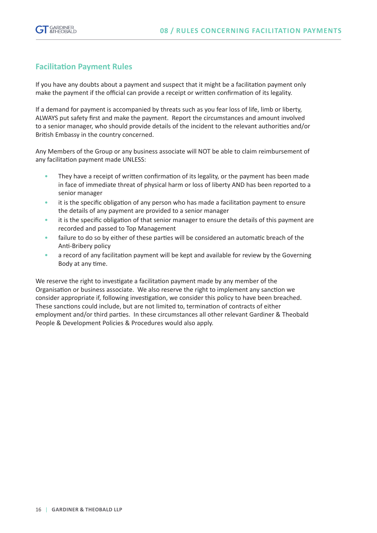

### **Facilitation Payment Rules**

If you have any doubts about a payment and suspect that it might be a facilitation payment only make the payment if the official can provide a receipt or written confirmation of its legality.

If a demand for payment is accompanied by threats such as you fear loss of life, limb or liberty, ALWAYS put safety first and make the payment. Report the circumstances and amount involved to a senior manager, who should provide details of the incident to the relevant authorities and/or British Embassy in the country concerned.

Any Members of the Group or any business associate will NOT be able to claim reimbursement of any facilitation payment made UNLESS:

- They have a receipt of written confirmation of its legality, or the payment has been made in face of immediate threat of physical harm or loss of liberty AND has been reported to a senior manager
- it is the specific obligation of any person who has made a facilitation payment to ensure the details of any payment are provided to a senior manager
- it is the specific obligation of that senior manager to ensure the details of this payment are recorded and passed to Top Management
- failure to do so by either of these parties will be considered an automatic breach of the Anti-Bribery policy
- a record of any facilitation payment will be kept and available for review by the Governing Body at any time.

We reserve the right to investigate a facilitation payment made by any member of the Organisation or business associate. We also reserve the right to implement any sanction we consider appropriate if, following investigation, we consider this policy to have been breached. These sanctions could include, but are not limited to, termination of contracts of either employment and/or third parties. In these circumstances all other relevant Gardiner & Theobald People & Development Policies & Procedures would also apply.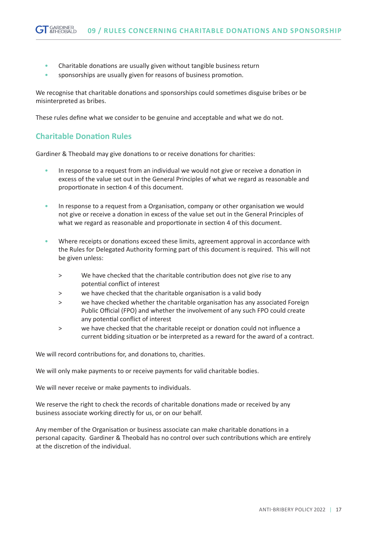- Charitable donations are usually given without tangible business return
- sponsorships are usually given for reasons of business promotion.

We recognise that charitable donations and sponsorships could sometimes disguise bribes or be misinterpreted as bribes.

These rules define what we consider to be genuine and acceptable and what we do not.

### **Charitable Donation Rules**

Gardiner & Theobald may give donations to or receive donations for charities:

- In response to a request from an individual we would not give or receive a donation in excess of the value set out in the General Principles of what we regard as reasonable and proportionate in section 4 of this document.
- In response to a request from a Organisation, company or other organisation we would not give or receive a donation in excess of the value set out in the General Principles of what we regard as reasonable and proportionate in section 4 of this document.
- Where receipts or donations exceed these limits, agreement approval in accordance with the Rules for Delegated Authority forming part of this document is required. This will not be given unless:
	- > We have checked that the charitable contribution does not give rise to any potential conflict of interest
	- > we have checked that the charitable organisation is a valid body
	- > we have checked whether the charitable organisation has any associated Foreign Public Official (FPO) and whether the involvement of any such FPO could create any potential conflict of interest
	- > we have checked that the charitable receipt or donation could not influence a current bidding situation or be interpreted as a reward for the award of a contract.

We will record contributions for, and donations to, charities.

We will only make payments to or receive payments for valid charitable bodies.

We will never receive or make payments to individuals.

We reserve the right to check the records of charitable donations made or received by any business associate working directly for us, or on our behalf.

Any member of the Organisation or business associate can make charitable donations in a personal capacity. Gardiner & Theobald has no control over such contributions which are entirely at the discretion of the individual.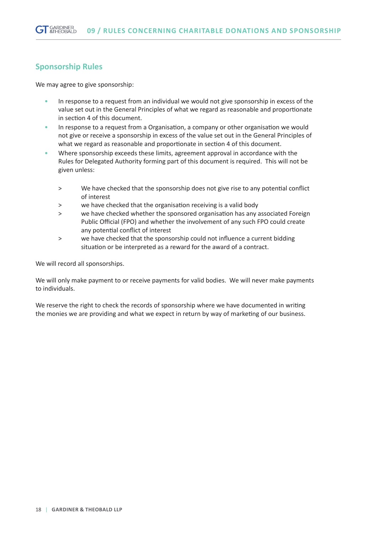### **Sponsorship Rules**

We may agree to give sponsorship:

- In response to a request from an individual we would not give sponsorship in excess of the value set out in the General Principles of what we regard as reasonable and proportionate in section 4 of this document.
- In response to a request from a Organisation, a company or other organisation we would not give or receive a sponsorship in excess of the value set out in the General Principles of what we regard as reasonable and proportionate in section 4 of this document.
- Where sponsorship exceeds these limits, agreement approval in accordance with the Rules for Delegated Authority forming part of this document is required. This will not be given unless:
	- > We have checked that the sponsorship does not give rise to any potential conflict of interest
	- > we have checked that the organisation receiving is a valid body
	- > we have checked whether the sponsored organisation has any associated Foreign Public Official (FPO) and whether the involvement of any such FPO could create any potential conflict of interest
	- > we have checked that the sponsorship could not influence a current bidding situation or be interpreted as a reward for the award of a contract.

We will record all sponsorships.

We will only make payment to or receive payments for valid bodies. We will never make payments to individuals.

We reserve the right to check the records of sponsorship where we have documented in writing the monies we are providing and what we expect in return by way of marketing of our business.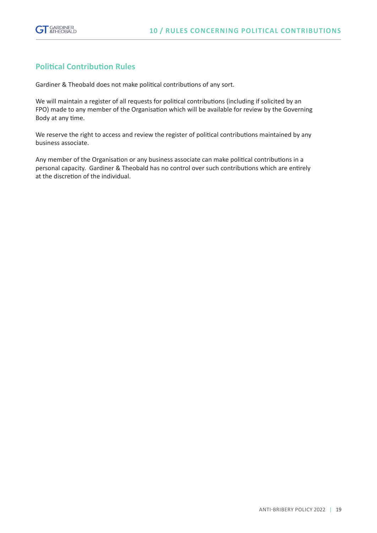

# **Political Contribution Rules**

Gardiner & Theobald does not make political contributions of any sort.

We will maintain a register of all requests for political contributions (including if solicited by an FPO) made to any member of the Organisation which will be available for review by the Governing Body at any time.

We reserve the right to access and review the register of political contributions maintained by any business associate.

Any member of the Organisation or any business associate can make political contributions in a personal capacity. Gardiner & Theobald has no control over such contributions which are entirely at the discretion of the individual.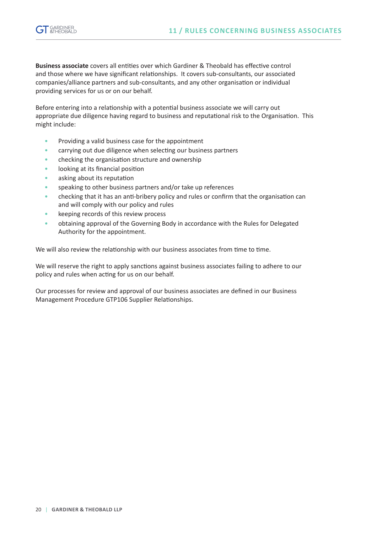

**Business associate** covers all entities over which Gardiner & Theobald has effective control and those where we have significant relationships. It covers sub-consultants, our associated companies/alliance partners and sub-consultants, and any other organisation or individual providing services for us or on our behalf.

Before entering into a relationship with a potential business associate we will carry out appropriate due diligence having regard to business and reputational risk to the Organisation. This might include:

- Providing a valid business case for the appointment
- carrying out due diligence when selecting our business partners
- checking the organisation structure and ownership
- looking at its financial position
- asking about its reputation
- speaking to other business partners and/or take up references
- checking that it has an anti-bribery policy and rules or confirm that the organisation can and will comply with our policy and rules
- keeping records of this review process
- obtaining approval of the Governing Body in accordance with the Rules for Delegated Authority for the appointment.

We will also review the relationship with our business associates from time to time.

We will reserve the right to apply sanctions against business associates failing to adhere to our policy and rules when acting for us on our behalf.

Our processes for review and approval of our business associates are defined in our Business Management Procedure GTP106 Supplier Relationships.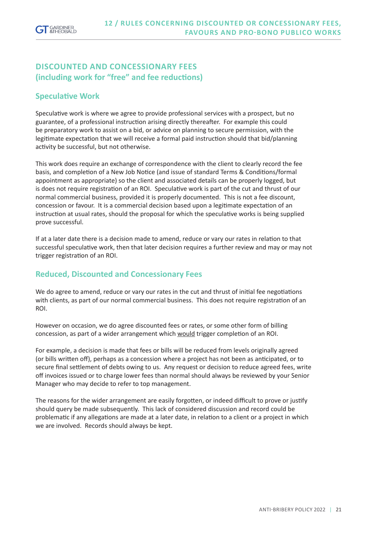

# **DISCOUNTED AND CONCESSIONARY FEES (including work for "free" and fee reductions)**

# **Speculative Work**

Speculative work is where we agree to provide professional services with a prospect, but no guarantee, of a professional instruction arising directly thereafter. For example this could be preparatory work to assist on a bid, or advice on planning to secure permission, with the legitimate expectation that we will receive a formal paid instruction should that bid/planning activity be successful, but not otherwise.

This work does require an exchange of correspondence with the client to clearly record the fee basis, and completion of a New Job Notice (and issue of standard Terms & Conditions/formal appointment as appropriate) so the client and associated details can be properly logged, but is does not require registration of an ROI. Speculative work is part of the cut and thrust of our normal commercial business, provided it is properly documented. This is not a fee discount, concession or favour. It is a commercial decision based upon a legitimate expectation of an instruction at usual rates, should the proposal for which the speculative works is being supplied prove successful.

If at a later date there is a decision made to amend, reduce or vary our rates in relation to that successful speculative work, then that later decision requires a further review and may or may not trigger registration of an ROI.

# **Reduced, Discounted and Concessionary Fees**

We do agree to amend, reduce or vary our rates in the cut and thrust of initial fee negotiations with clients, as part of our normal commercial business. This does not require registration of an ROI.

However on occasion, we do agree discounted fees or rates, or some other form of billing concession, as part of a wider arrangement which would trigger completion of an ROI.

For example, a decision is made that fees or bills will be reduced from levels originally agreed (or bills written off), perhaps as a concession where a project has not been as anticipated, or to secure final settlement of debts owing to us. Any request or decision to reduce agreed fees, write off invoices issued or to charge lower fees than normal should always be reviewed by your Senior Manager who may decide to refer to top management.

The reasons for the wider arrangement are easily forgotten, or indeed difficult to prove or justify should query be made subsequently. This lack of considered discussion and record could be problematic if any allegations are made at a later date, in relation to a client or a project in which we are involved. Records should always be kept.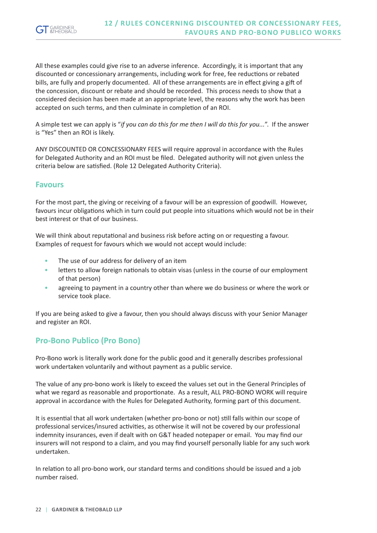

All these examples could give rise to an adverse inference. Accordingly, it is important that any discounted or concessionary arrangements, including work for free, fee reductions or rebated bills, are fully and properly documented. All of these arrangements are in effect giving a gift of the concession, discount or rebate and should be recorded. This process needs to show that a considered decision has been made at an appropriate level, the reasons why the work has been accepted on such terms, and then culminate in completion of an ROI.

A simple test we can apply is "*if you can do this for me then I will do this for you...*". If the answer is "Yes" then an ROI is likely.

ANY DISCOUNTED OR CONCESSIONARY FEES will require approval in accordance with the Rules for Delegated Authority and an ROI must be filed. Delegated authority will not given unless the criteria below are satisfied. (Role 12 Delegated Authority Criteria).

#### **Favours**

For the most part, the giving or receiving of a favour will be an expression of goodwill. However, favours incur obligations which in turn could put people into situations which would not be in their best interest or that of our business.

We will think about reputational and business risk before acting on or requesting a favour. Examples of request for favours which we would not accept would include:

- The use of our address for delivery of an item
- letters to allow foreign nationals to obtain visas (unless in the course of our employment of that person)
- agreeing to payment in a country other than where we do business or where the work or service took place.

If you are being asked to give a favour, then you should always discuss with your Senior Manager and register an ROI.

### **Pro-Bono Publico (Pro Bono)**

Pro-Bono work is literally work done for the public good and it generally describes professional work undertaken voluntarily and without payment as a public service.

The value of any pro-bono work is likely to exceed the values set out in the General Principles of what we regard as reasonable and proportionate. As a result, ALL PRO-BONO WORK will require approval in accordance with the Rules for Delegated Authority, forming part of this document.

It is essential that all work undertaken (whether pro-bono or not) still falls within our scope of professional services/insured activities, as otherwise it will not be covered by our professional indemnity insurances, even if dealt with on G&T headed notepaper or email. You may find our insurers will not respond to a claim, and you may find yourself personally liable for any such work undertaken.

In relation to all pro-bono work, our standard terms and conditions should be issued and a job number raised.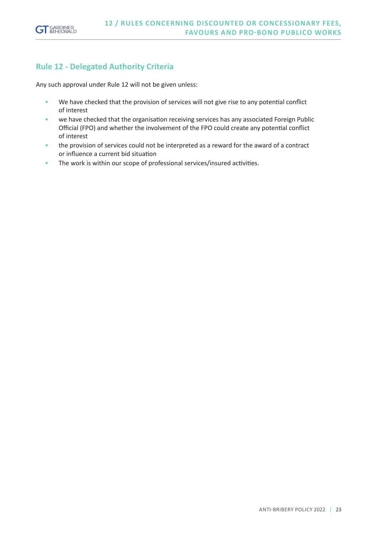

# **Rule 12 - Delegated Authority Criteria**

Any such approval under Rule 12 will not be given unless:

- We have checked that the provision of services will not give rise to any potential conflict of interest
- we have checked that the organisation receiving services has any associated Foreign Public Official (FPO) and whether the involvement of the FPO could create any potential conflict of interest
- the provision of services could not be interpreted as a reward for the award of a contract or influence a current bid situation
- The work is within our scope of professional services/insured activities.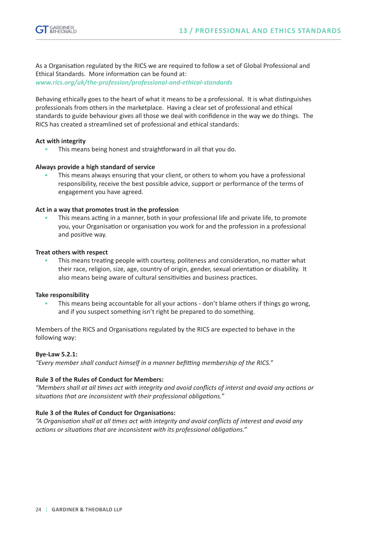

As a Organisation regulated by the RICS we are required to follow a set of Global Professional and Ethical Standards. More information can be found at: *www.rics.org/uk/the-profession/professional-and-ethical-standards*

Behaving ethically goes to the heart of what it means to be a professional. It is what distinguishes professionals from others in the marketplace. Having a clear set of professional and ethical standards to guide behaviour gives all those we deal with confidence in the way we do things. The RICS has created a streamlined set of professional and ethical standards:

#### **Act with integrity**

• This means being honest and straightforward in all that you do.

#### **Always provide a high standard of service**

This means always ensuring that your client, or others to whom you have a professional responsibility, receive the best possible advice, support or performance of the terms of engagement you have agreed.

#### **Act in a way that promotes trust in the profession**

This means acting in a manner, both in your professional life and private life, to promote you, your Organisation or organisation you work for and the profession in a professional and positive way.

#### **Treat others with respect**

• This means treating people with courtesy, politeness and consideration, no matter what their race, religion, size, age, country of origin, gender, sexual orientation or disability. It also means being aware of cultural sensitivities and business practices.

#### **Take responsibility**

This means being accountable for all your actions - don't blame others if things go wrong, and if you suspect something isn't right be prepared to do something.

Members of the RICS and Organisations regulated by the RICS are expected to behave in the following way:

#### **Bye-Law 5.2.1:**

*"Every member shall conduct himself in a manner befitting membership of the RICS."*

#### **Rule 3 of the Rules of Conduct for Members:**

*"Members shall at all times act with integrity and avoid conflicts of interst and avoid any actions or situations that are inconsistent with their professional obligations."*

#### **Rule 3 of the Rules of Conduct for Organisations:**

*"A Organisation shall at all times act with integrity and avoid conflicts of interest and avoid any actions or situations that are inconsistent with its professional obligations."*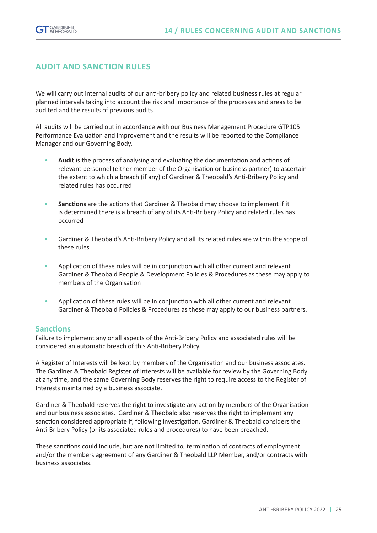

# **AUDIT AND SANCTION RULES**

We will carry out internal audits of our anti-bribery policy and related business rules at regular planned intervals taking into account the risk and importance of the processes and areas to be audited and the results of previous audits.

All audits will be carried out in accordance with our Business Management Procedure GTP105 Performance Evaluation and Improvement and the results will be reported to the Compliance Manager and our Governing Body.

- **Audit** is the process of analysing and evaluating the documentation and actions of relevant personnel (either member of the Organisation or business partner) to ascertain the extent to which a breach (if any) of Gardiner & Theobald's Anti-Bribery Policy and related rules has occurred
- **Sanctions** are the actions that Gardiner & Theobald may choose to implement if it is determined there is a breach of any of its Anti-Bribery Policy and related rules has occurred
- Gardiner & Theobald's Anti-Bribery Policy and all its related rules are within the scope of these rules
- Application of these rules will be in conjunction with all other current and relevant Gardiner & Theobald People & Development Policies & Procedures as these may apply to members of the Organisation
- Application of these rules will be in conjunction with all other current and relevant Gardiner & Theobald Policies & Procedures as these may apply to our business partners.

#### **Sanctions**

Failure to implement any or all aspects of the Anti-Bribery Policy and associated rules will be considered an automatic breach of this Anti-Bribery Policy.

A Register of Interests will be kept by members of the Organisation and our business associates. The Gardiner & Theobald Register of Interests will be available for review by the Governing Body at any time, and the same Governing Body reserves the right to require access to the Register of Interests maintained by a business associate.

Gardiner & Theobald reserves the right to investigate any action by members of the Organisation and our business associates. Gardiner & Theobald also reserves the right to implement any sanction considered appropriate if, following investigation, Gardiner & Theobald considers the Anti-Bribery Policy (or its associated rules and procedures) to have been breached.

These sanctions could include, but are not limited to, termination of contracts of employment and/or the members agreement of any Gardiner & Theobald LLP Member, and/or contracts with business associates.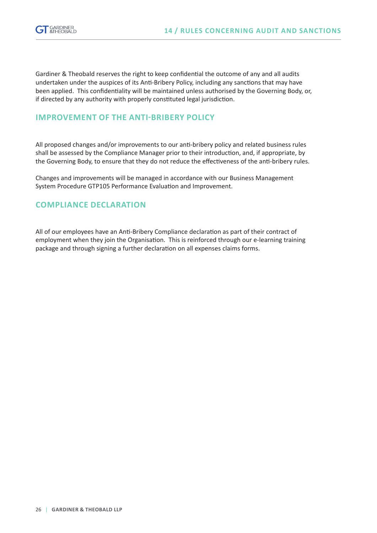

Gardiner & Theobald reserves the right to keep confidential the outcome of any and all audits undertaken under the auspices of its Anti-Bribery Policy, including any sanctions that may have been applied. This confidentiality will be maintained unless authorised by the Governing Body, or, if directed by any authority with properly constituted legal jurisdiction.

#### **IMPROVEMENT OF THE ANTI-BRIBERY POLICY**

All proposed changes and/or improvements to our anti-bribery policy and related business rules shall be assessed by the Compliance Manager prior to their introduction, and, if appropriate, by the Governing Body, to ensure that they do not reduce the effectiveness of the anti-bribery rules.

Changes and improvements will be managed in accordance with our Business Management System Procedure GTP105 Performance Evaluation and Improvement.

### **COMPLIANCE DECLARATION**

All of our employees have an Anti-Bribery Compliance declaration as part of their contract of employment when they join the Organisation. This is reinforced through our e-learning training package and through signing a further declaration on all expenses claims forms.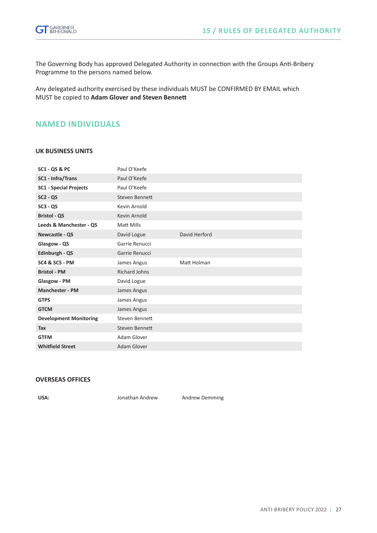

The Governing Body has approved Delegated Authority in connection with the Groups Anti-Bribery Programme to the persons named below.

Any delegated authority exercised by these individuals MUST be CONFIRMED BY EMAIL which MUST be copied to **Adam Glover and Steven Bennett** 

### **NAMED INDIVIDUALS**

#### **UK BUSINESS UNITS**

| <b>SC1 - QS &amp; PC</b>      | Paul O'Keefe         |               |
|-------------------------------|----------------------|---------------|
| SC1 - Infra/Trans             | Paul O'Keefe         |               |
| <b>SC1 - Special Projects</b> | Paul O'Keefe         |               |
| $SC2 - QS$                    | Steven Bennett       |               |
| $SC3 - QS$                    | Kevin Arnold         |               |
| <b>Bristol - QS</b>           | Kevin Arnold         |               |
| Leeds & Manchester - QS       | Matt Mills           |               |
| Newcastle - QS                | David Logue          | David Herford |
| Glasgow - QS                  | Garrie Renucci       |               |
| Edinburgh - QS                | Garrie Renucci       |               |
|                               |                      |               |
| <b>SC4 &amp; SC5 - PM</b>     | James Angus          | Matt Holman   |
| <b>Bristol - PM</b>           | <b>Richard Johns</b> |               |
| Glasgow - PM                  | David Logue          |               |
| <b>Manchester - PM</b>        | James Angus          |               |
| <b>GTPS</b>                   | James Angus          |               |
| <b>GTCM</b>                   | James Angus          |               |
| <b>Development Monitoring</b> | Steven Bennett       |               |
| Tax                           | Steven Bennett       |               |
| <b>GTFM</b>                   | Adam Glover          |               |

#### **OVERSEAS OFFICES**

USA: USA: Jonathan Andrew Andrew Demming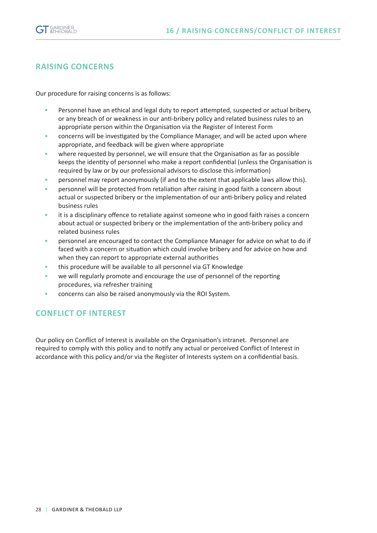

### **RAISING CONCERNS**

Our procedure for raising concerns is as follows:

- Personnel have an ethical and legal duty to report attempted, suspected or actual bribery, or any breach of or weakness in our anti-bribery policy and related business rules to an appropriate person within the Organisation via the Register of Interest Form
- concerns will be investigated by the Compliance Manager, and will be acted upon where appropriate, and feedback will be given where appropriate
- where requested by personnel, we will ensure that the Organisation as far as possible keeps the identity of personnel who make a report confidential (unless the Organisation is required by law or by our professional advisors to disclose this information)
- personnel may report anonymously (if and to the extent that applicable laws allow this).
- personnel will be protected from retaliation after raising in good faith a concern about actual or suspected bribery or the implementation of our anti-bribery policy and related business rules
- it is a disciplinary offence to retaliate against someone who in good faith raises a concern about actual or suspected bribery or the implementation of the anti-bribery policy and related business rules
- personnel are encouraged to contact the Compliance Manager for advice on what to do if faced with a concern or situation which could involve bribery and for advice on how and when they can report to appropriate external authorities
- this procedure will be available to all personnel via GT Knowledge
- we will regularly promote and encourage the use of personnel of the reporting procedures, via refresher training
- concerns can also be raised anonymously via the ROI System.

### **CONFLICT OF INTEREST**

Our policy on Conflict of Interest is available on the Organisation's intranet. Personnel are required to comply with this policy and to notify any actual or perceived Conflict of Interest in accordance with this policy and/or via the Register of Interests system on a confidential basis.